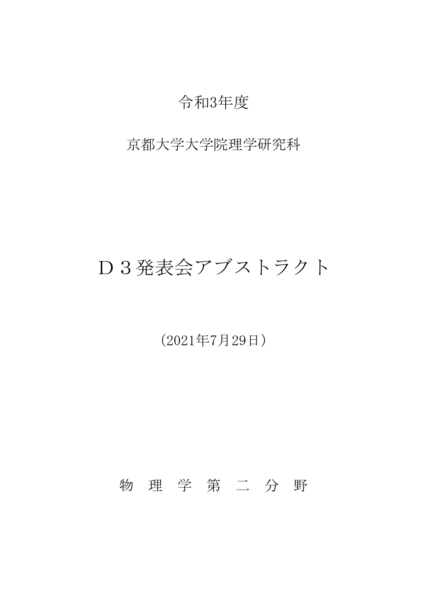## 令和3年度

## 京都大学大学院理学研究科

# D3発表会アブストラクト

(2021年7月29日)

物 理 学 第 二 分 野